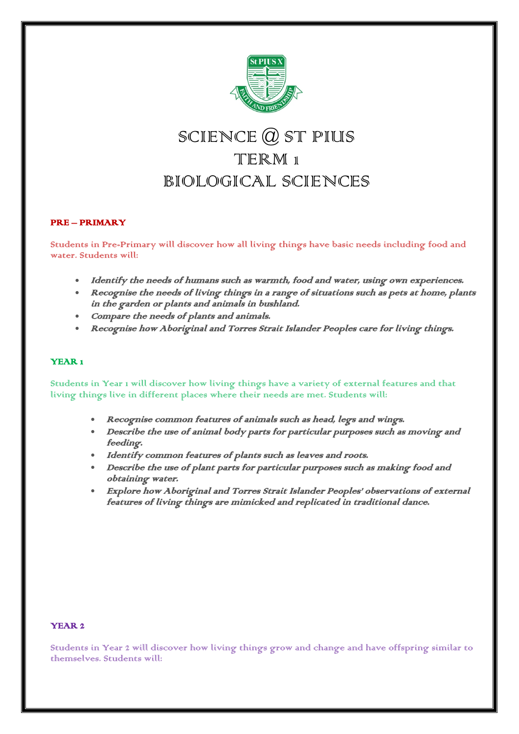

# SCIENCE  $Q$  ST PIUS TERM<sub>1</sub> BIOLOGICAL SCIENCES

## PRE – PRIMARY

Students in Pre-Primary will discover how all living things have basic needs including food and water. Students will:

- Identify the needs of humans such as warmth, food and water, using own experiences.
- Recognise the needs of living things in a range of situations such as pets at home, plants in the garden or plants and animals in bushland.
- Compare the needs of plants and animals.
- Recognise how Aboriginal and Torres Strait Islander Peoples care for living things.

#### YEAR<sub>1</sub>

Students in Year 1 will discover how living things have a variety of external features and that living things live in different places where their needs are met. Students will:

- Recognise common features of animals such as head, legs and wings.
- Describe the use of animal body parts for particular purposes such as moving and feeding.
- Identify common features of plants such as leaves and roots.
- Describe the use of plant parts for particular purposes such as making food and obtaining water.
- Explore how Aboriginal and Torres Strait Islander Peoples' observations of external features of living things are mimicked and replicated in traditional dance.

## YEAR 2

Students in Year 2 will discover how living things grow and change and have offspring similar to themselves. Students will: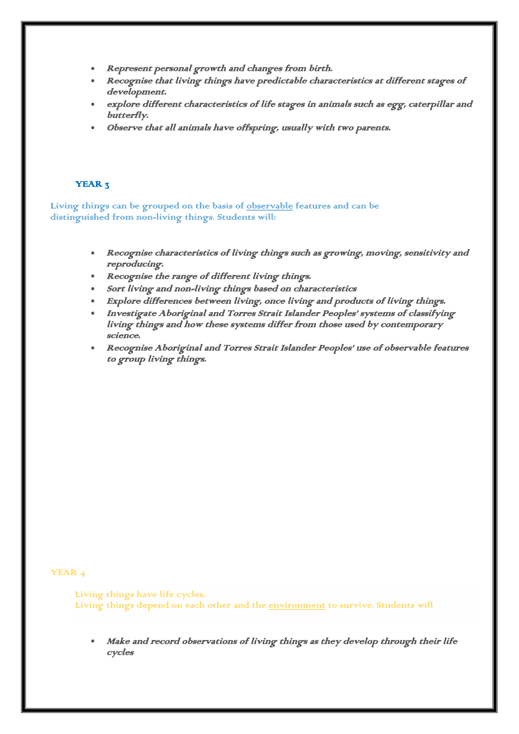- Represent personal growth and changes from birth.
- Recognise that living things have predictable characteristics at different stages of development.
- explore different characteristics of life stages in animals such as egg, caterpillar and butterfly.
- Observe that all animals have offspring, usually with two parents.

# YEAR<sub>3</sub>

Living things can be grouped on the basis of [observable](https://k10outline.scsa.wa.edu.au/home/teaching/curriculum-browser/science-v8/overview/glossary/observable) features and can be distinguished from non-living things. Students will:

- Recognise characteristics of living things such as growing, moving, sensitivity and reproducing.
- Recognise the range of different living things.
- Sort living and non-living things based on characteristics
- Explore differences between living, once living and products of living things.
- Investigate Aboriginal and Torres Strait Islander Peoples' systems of classifying living things and how these systems differ from those used by contemporary science.
- Recognise Aboriginal and Torres Strait Islander Peoples' use of observable features to group living things.

#### YEAR 4

Living things have life cycles. Living things depend on each other and the [environment](https://k10outline.scsa.wa.edu.au/home/teaching/curriculum-browser/science-v8/overview/glossary/environment) to survive. Students will

• Make and record observations of living things as they develop through their life cycles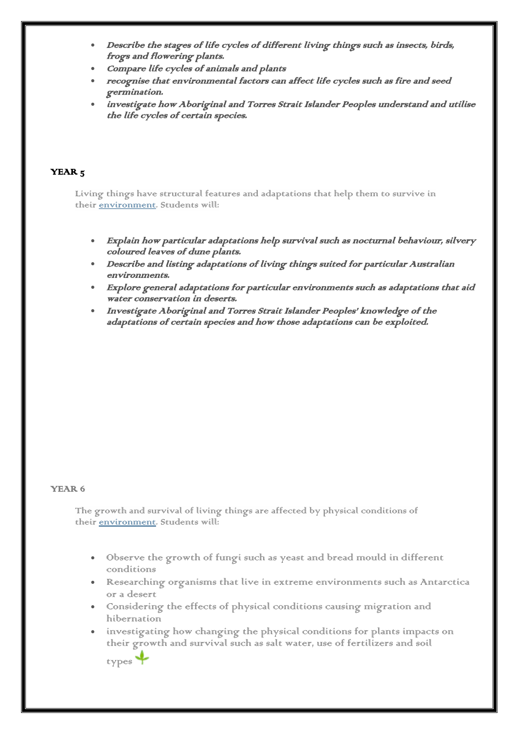- Describe the stages of life cycles of different living things such as insects, birds, frogs and flowering plants.
- Compare life cycles of animals and plants
- recognise that environmental factors can affect life cycles such as fire and seed germination.
- investigate how Aboriginal and Torres Strait Islander Peoples understand and utilise the life cycles of certain species.

## YEAR<sub>5</sub>

Living things have structural features and adaptations that help them to survive in their [environment.](https://k10outline.scsa.wa.edu.au/home/teaching/curriculum-browser/science-v8/overview/glossary/environment) Students will:

- Explain how particular adaptations help survival such as nocturnal behaviour, silvery coloured leaves of dune plants.
- Describe and listing adaptations of living things suited for particular Australian environments.
- Explore general adaptations for particular environments such as adaptations that aid water conservation in deserts.
- Investigate Aboriginal and Torres Strait Islander Peoples' knowledge of the adaptations of certain species and how those adaptations can be exploited.

### YEAR 6

The growth and survival of living things are affected by physical conditions of their [environment.](https://k10outline.scsa.wa.edu.au/home/teaching/curriculum-browser/science-v8/overview/glossary/environment) Students will:

- Observe the growth of fungi such as yeast and bread mould in different conditions
- Researching organisms that live in extreme environments such as Antarctica or a desert
- Considering the effects of physical conditions causing migration and hibernation
- investigating how changing the physical conditions for plants impacts on their growth and survival such as salt water, use of fertilizers and soil

types<sup>-</sup>